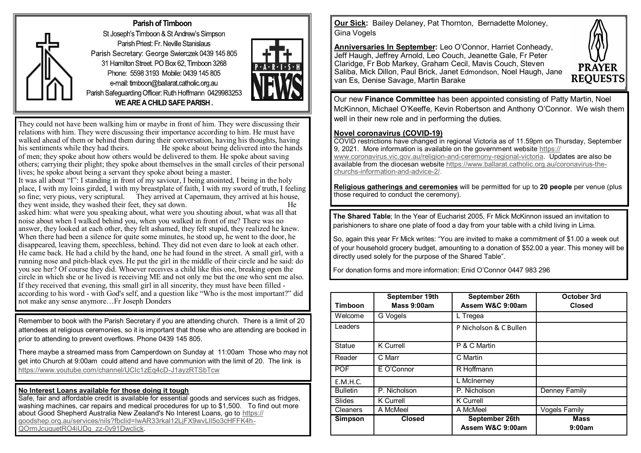

### Parish of Timboon

St Joseph's Timboon & St Andrew's Simpson Parish Priest: Fr. Neville Stanislaus Parish Secretary: George Swierczek 0439 145 805 31 Hamilton Street, PO Box 62, Timboon 3268 Phone: 5598 3193 Mobile: 0439 145 805 e-mail: timboon@ballarat.catholic.org.au Parish Safeguarding Officer: Ruth Hoffmann 042998325 WE ARE A CHILD SAFE PARISH.



They could not have been walking him or maybe in front of him. They were discussing their relations with him. They were discussing their importance according to him. He must have walked ahead of them or behind them during their conversation, having his thoughts, having his sentiments while they had theirs. He spoke about being delivered into the hands He spoke about being delivered into the hands. of men; they spoke about how others would be delivered to them. He spoke about saving others; carrying their plight; they spoke about themselves in the small circles of their personal lives; he spoke about being a servant they spoke about being a master. It was all about "I": I standing in front of my saviour, I being anointed, I being in the holy

place, I with my loins girded, I with my breastplate of faith, I with my sword of truth, I feeling so fine; very pious, very scriptural. They arrived at Capernaum, they arrived at his house, they went inside, they washed their feet, they sat down. He

asked him: what were you speaking about, what were you shouting about, what was all that noise about when I walked behind you, when you walked in front of me? There was no answer, they looked at each other, they felt ashamed, they felt stupid, they realized he knew. When there had been a silence for quite some minutes, he stood up, he went to the door, he disappeared, leaving them, speechless, behind. They did not even dare to look at each other. He came back. He had a child by the hand, one he had found in the street. A small girl, with a running nose and pitch-black eyes. He put the girl in the middle of their circle and he said: do you see her? Of course they did. Whoever receives a child like this one, breaking open the circle in which she or he lived is receiving ME and not only me but the one who sent me also. If they received that evening, this small girl in all sincerity, they must have been filled according to his word - with God's self, and a question like "Who is the most important?" did not make any sense anymore…Fr Joseph Donders

Remember to book with the Parish Secretary if you are attending church. There is a limit of 20 attendees at religious ceremonies, so it is important that those who are attending are booked in prior to attending to prevent overflows. Phone 0439 145 805.

There maybe a streamed mass from Camperdown on Sunday at 11:00am Those who may not get into Church at 9:00am could attend and have communion with the limit of 20. The link is [https://www.youtube.com/channel/UCIc1zEq4cD](https://www.youtube.com/channel/UCIc1zEq4cD-J1ayzRTSbTcw)-J1ayzRTSbTcw

### **No Interest Loans available for those doing it tough**

Safe, fair and affordable credit is available for essential goods and services such as fridges, washing machines, car repairs and medical procedures for up to \$1,500. To find out more about Good Shepherd Australia New Zealand's No Interest Loans, go to [https://](https://goodshep.org.au/services/nils?fbclid=IwAR33rkal12LjFX9wvLll5o3cHFFK4h-QOrmJcuquetRO4iUDq_zz-0y91Dwclick) [goodshep.org.au/services/nils?fbclid=IwAR33rkal12LjFX9wvLll5o3cHFFK4h](https://goodshep.org.au/services/nils?fbclid=IwAR33rkal12LjFX9wvLll5o3cHFFK4h-QOrmJcuquetRO4iUDq_zz-0y91Dwclick)-[QOrmJcuquetRO4iUDq\\_zz](https://goodshep.org.au/services/nils?fbclid=IwAR33rkal12LjFX9wvLll5o3cHFFK4h-QOrmJcuquetRO4iUDq_zz-0y91Dwclick)-0y91Dwclick.

**Our Sick:** Bailey Delaney, Pat Thornton, Bernadette Moloney, Gina Vogels

**Anniversaries In September:** Leo O'Connor, Harriet Conheady, Jeff Haugh, Jeffrey Arnold, Leo Couch, Jeanette Gale, Fr Peter Claridge, Fr Bob Markey, Graham Cecil, Mavis Couch, Steven Saliba, Mick Dillon, Paul Brick, Janet Edmondson, Noel Haugh, Jane van Es, Denise Savage, Martin Barake



Our new **Finance Committee** has been appointed consisting of Patty Martin, Noel McKinnon, Michael O'Keeffe, Kevin Robertson and Anthony O'Connor. We wish them well in their new role and in performing the duties.

### **Novel coronavirus (COVID-19)**

COVID restrictions have changed in regional Victoria as of 11.59pm on Thursday, September 9, 2021. More information is available on the government website [https://](https://www.coronavirus.vic.gov.au/religion-and-ceremony-regional-victoria) [www.coronavirus.vic.gov.au/religion](https://www.coronavirus.vic.gov.au/religion-and-ceremony-regional-victoria)-and-ceremony-regional-victoria. Updates are also be available from the diocesan website [https://www.ballarat.catholic.org.au/coronavirus](https://www.ballarat.catholic.org.au/coronavirus-the-churchs-information-and-advice-2/)-thechurchs-[information](https://www.ballarat.catholic.org.au/coronavirus-the-churchs-information-and-advice-2/)-and-advice-2/.

**Religious gatherings and ceremonies** will be permitted for up to **20 people** per venue (plus those required to conduct the ceremony).

**The Shared Table**; In the Year of Eucharist 2005, Fr Mick McKinnon issued an invitation to parishioners to share one plate of food a day from your table with a child living in Lima.

So, again this year Fr Mick writes: "You are invited to make a commitment of \$1.00 a week out of your household grocery budget, amounting to a donation of \$52.00 a year. This money will be directly used solely for the purpose of the Shared Table".

For donation forms and more information: Enid O'Connor 0447 983 296

| <b>Timboon</b>  | September 19th<br>Mass 9:00am | September 26th<br>Assem W&C 9:00am | October 3rd<br><b>Closed</b> |
|-----------------|-------------------------------|------------------------------------|------------------------------|
| Welcome         | G Vogels                      | L Tregea                           |                              |
| Leaders         |                               | P Nicholson & C Bullen             |                              |
| <b>Statue</b>   | <b>K</b> Currell              | P & C Martin                       |                              |
| Reader          | C Marr                        | C Martin                           |                              |
| <b>POF</b>      | E O'Connor                    | R Hoffmann                         |                              |
| E.M.H.C.        |                               | L McInerney                        |                              |
| <b>Bulletin</b> | P. Nicholson                  | P. Nicholson                       | <b>Denney Family</b>         |
| Slides          | K Currell                     | K Currell                          |                              |
| <b>Cleaners</b> | A McMeel                      | A McMeel                           | <b>Vogels Family</b>         |
| <b>Simpson</b>  | <b>Closed</b>                 | September 26th<br>Assem W&C 9:00am | <b>Mass</b><br>9:00am        |